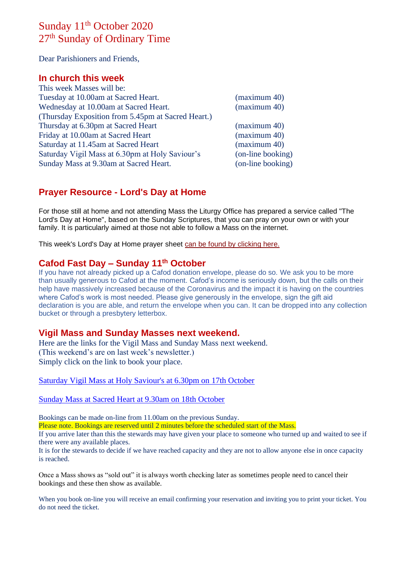# Sunday 11<sup>th</sup> October 2020 27<sup>th</sup> Sunday of Ordinary Time

Dear Parishioners and Friends,

#### **In church this week**

| This week Masses will be:                          |                   |
|----------------------------------------------------|-------------------|
| Tuesday at 10.00am at Sacred Heart.                | (maximum 40)      |
| Wednesday at 10.00am at Sacred Heart.              | (maximum 40)      |
| (Thursday Exposition from 5.45pm at Sacred Heart.) |                   |
| Thursday at 6.30pm at Sacred Heart                 | (maximum 40)      |
| Friday at 10.00am at Sacred Heart                  | (maximum 40)      |
| Saturday at 11.45am at Sacred Heart                | (maximum 40)      |
| Saturday Vigil Mass at 6.30pm at Holy Saviour's    | (on-line booking) |
| Sunday Mass at 9.30am at Sacred Heart.             | (on-line booking) |
|                                                    |                   |

# **Prayer Resource - Lord's Day at Home**

For those still at home and not attending Mass the Liturgy Office has prepared a service called "The Lord's Day at Home", based on the Sunday Scriptures, that you can pray on your own or with your family. It is particularly aimed at those not able to follow a Mass on the internet.

This week's Lord's Day at Home prayer sheet [can be found by clicking here.](https://dioceseofsalford.us6.list-manage.com/track/click?u=76e219dab8653b775ba8aac4c&id=782aae5c07&e=5ce69633f0)

## **Cafod Fast Day – Sunday 11th October**

If you have not already picked up a Cafod donation envelope, please do so. We ask you to be more than usually generous to Cafod at the moment. Cafod's income is seriously down, but the calls on their help have massively increased because of the Coronavirus and the impact it is having on the countries where Cafod's work is most needed. Please give generously in the envelope, sign the gift aid declaration is you are able, and return the envelope when you can. It can be dropped into any collection bucket or through a presbytery letterbox.

#### **Vigil Mass and Sunday Masses next weekend.**

Here are the links for the Vigil Mass and Sunday Mass next weekend. (This weekend's are on last week's newsletter.) Simply click on the link to book your place.

[Saturday Vigil Mass at Holy Saviour's at 6.30pm on 17th October](https://www.eventbrite.co.uk/e/saturday-vigil-mass-630pm-holy-saviours-nelson-17th-october-tickets-124523516189)

[Sunday Mass at Sacred Heart at 9.30am on 18th October](https://www.eventbrite.co.uk/e/sunday-mass-930am-sacred-heart-colne-18th-october-2020-tickets-124523899335)

Bookings can be made on-line from 11.00am on the previous Sunday.

Please note. Bookings are reserved until 2 minutes before the scheduled start of the Mass.

If you arrive later than this the stewards may have given your place to someone who turned up and waited to see if there were any available places.

It is for the stewards to decide if we have reached capacity and they are not to allow anyone else in once capacity is reached.

Once a Mass shows as "sold out" it is always worth checking later as sometimes people need to cancel their bookings and these then show as available.

When you book on-line you will receive an email confirming your reservation and inviting you to print your ticket. You do not need the ticket.